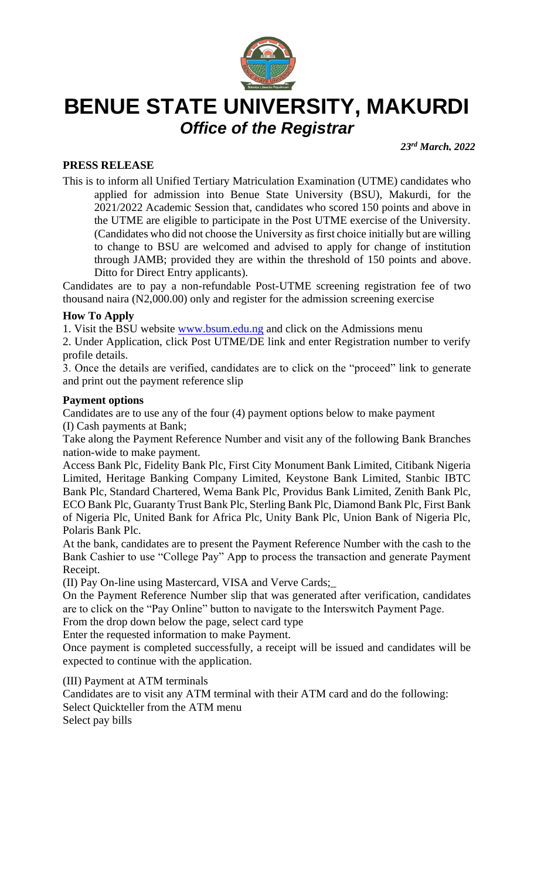

# **BENUE STATE UNIVERSITY, MAKURDI** *Office of the Registrar*

*23rd March, 2022*

# **PRESS RELEASE**

This is to inform all Unified Tertiary Matriculation Examination (UTME) candidates who applied for admission into Benue State University (BSU), Makurdi, for the 2021/2022 Academic Session that, candidates who scored 150 points and above in the UTME are eligible to participate in the Post UTME exercise of the University. (Candidates who did not choose the University as first choice initially but are willing to change to BSU are welcomed and advised to apply for change of institution through JAMB; provided they are within the threshold of 150 points and above. Ditto for Direct Entry applicants).

Candidates are to pay a non-refundable Post-UTME screening registration fee of two thousand naira (N2,000.00) only and register for the admission screening exercise

## **How To Apply**

1. Visit the BSU website [www.bsum.edu.ng](http://www.google.com/url?q=http%3A%2F%2Fwww.bsum.edu.ng&sa=D&sntz=1&usg=AFQjCNEOFzS_2tc2avPbnQHjjqrmDnN5nw) and click on the Admissions menu

2. Under Application, click Post UTME/DE link and enter Registration number to verify profile details.

3. Once the details are verified, candidates are to click on the "proceed" link to generate and print out the payment reference slip

#### **Payment options**

Candidates are to use any of the four (4) payment options below to make payment (I) Cash payments at Bank;

Take along the Payment Reference Number and visit any of the following Bank Branches nation-wide to make payment.

Access Bank Plc, Fidelity Bank Plc, First City Monument Bank Limited, Citibank Nigeria Limited, Heritage Banking Company Limited, Keystone Bank Limited, Stanbic IBTC Bank Plc, Standard Chartered, Wema Bank Plc, Providus Bank Limited, Zenith Bank Plc, ECO Bank Plc, Guaranty Trust Bank Plc, Sterling Bank Plc, Diamond Bank Plc, First Bank of Nigeria Plc, United Bank for Africa Plc, Unity Bank Plc, Union Bank of Nigeria Plc, Polaris Bank Plc.

At the bank, candidates are to present the Payment Reference Number with the cash to the Bank Cashier to use "College Pay" App to process the transaction and generate Payment Receipt.

(II) Pay On-line using Mastercard, VISA and Verve Cards;\_

On the Payment Reference Number slip that was generated after verification, candidates are to click on the "Pay Online" button to navigate to the Interswitch Payment Page.

From the drop down below the page, select card type

Enter the requested information to make Payment.

Once payment is completed successfully, a receipt will be issued and candidates will be expected to continue with the application.

(III) Payment at ATM terminals

Candidates are to visit any ATM terminal with their ATM card and do the following: Select Quickteller from the ATM menu Select pay bills